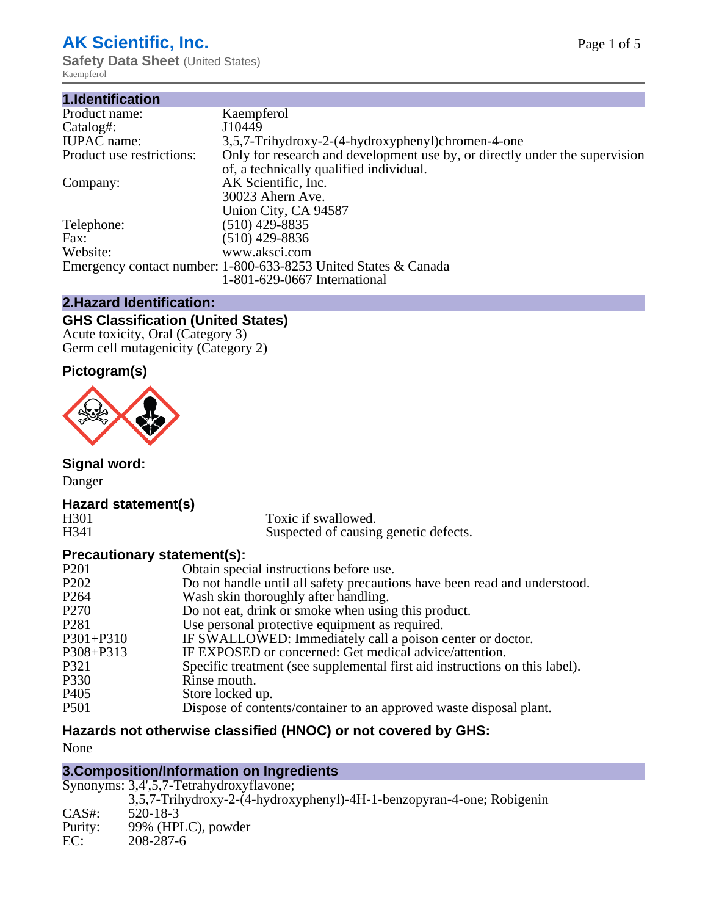# **AK Scientific, Inc.**

**Safety Data Sheet** (United States) Kaempferol

| 1.Identification          |                                                                             |
|---------------------------|-----------------------------------------------------------------------------|
| Product name:             | Kaempferol                                                                  |
| Catalog#:                 | J10449                                                                      |
| <b>IUPAC</b> name:        | 3,5,7-Trihydroxy-2-(4-hydroxyphenyl)chromen-4-one                           |
| Product use restrictions: | Only for research and development use by, or directly under the supervision |
|                           | of, a technically qualified individual.                                     |
| Company:                  | AK Scientific, Inc.                                                         |
|                           | 30023 Ahern Ave.                                                            |
|                           | Union City, CA 94587                                                        |
| Telephone:                | $(510)$ 429-8835                                                            |
| Fax:                      | (510) 429-8836                                                              |
| Website:                  | www.aksci.com                                                               |
|                           | Emergency contact number: 1-800-633-8253 United States & Canada             |
|                           | 1-801-629-0667 International                                                |
|                           |                                                                             |

## **2.Hazard Identification:**

# **GHS Classification (United States)**

Acute toxicity, Oral (Category 3) Germ cell mutagenicity (Category 2)

# **Pictogram(s)**



**Signal word:**

Danger

# **Hazard statement(s)**

H301 Toxic if swallowed.<br>H341 Suspected of causing Suspected of causing genetic defects.

## **Precautionary statement(s):**

| P <sub>201</sub>              | Obtain special instructions before use.                                     |
|-------------------------------|-----------------------------------------------------------------------------|
| P <sub>2</sub> 0 <sub>2</sub> | Do not handle until all safety precautions have been read and understood.   |
| P <sub>264</sub>              | Wash skin thoroughly after handling.                                        |
| P <sub>270</sub>              | Do not eat, drink or smoke when using this product.                         |
| P <sub>281</sub>              | Use personal protective equipment as required.                              |
| $P301 + P310$                 | IF SWALLOWED: Immediately call a poison center or doctor.                   |
| P308+P313                     | IF EXPOSED or concerned: Get medical advice/attention.                      |
| P321                          | Specific treatment (see supplemental first aid instructions on this label). |
| P330                          | Rinse mouth.                                                                |
| P <sub>405</sub>              | Store locked up.                                                            |
| <b>P501</b>                   | Dispose of contents/container to an approved waste disposal plant.          |
|                               |                                                                             |

# **Hazards not otherwise classified (HNOC) or not covered by GHS:**

None

## **3.Composition/Information on Ingredients**

|          | Synonyms: 3,4',5,7-Tetrahydroxyflavone;                               |
|----------|-----------------------------------------------------------------------|
|          | 3,5,7-Trihydroxy-2-(4-hydroxyphenyl)-4H-1-benzopyran-4-one; Robigenin |
| $CAS#$ : | 520-18-3                                                              |
| Purity:  | 99% (HPLC), powder                                                    |
| EC:      | 208-287-6                                                             |
|          |                                                                       |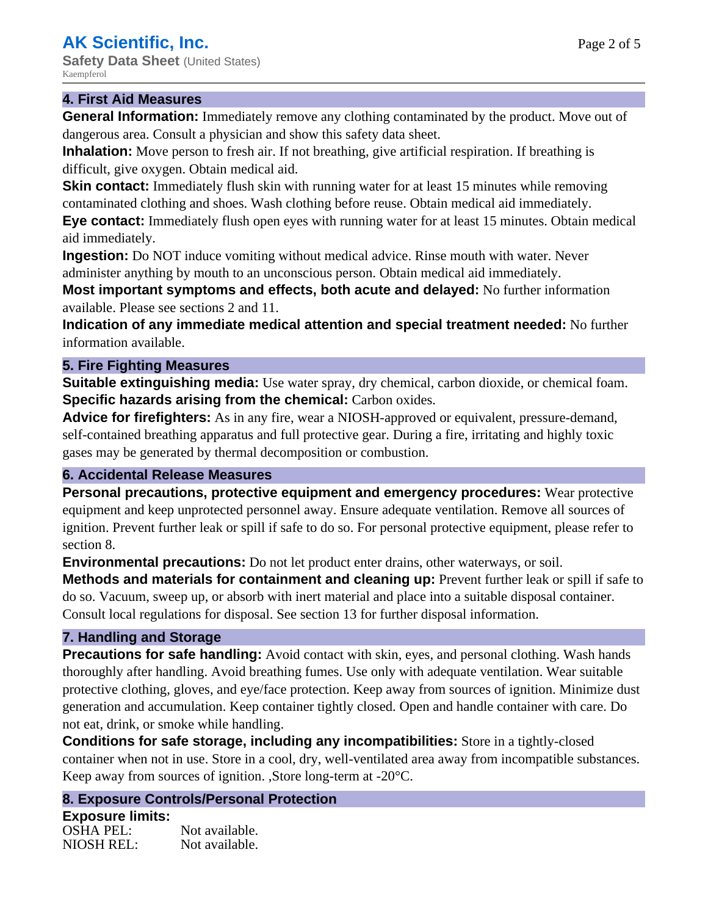**Safety Data Sheet** (United States) Kaempferol

## **4. First Aid Measures**

**General Information:** Immediately remove any clothing contaminated by the product. Move out of dangerous area. Consult a physician and show this safety data sheet.

**Inhalation:** Move person to fresh air. If not breathing, give artificial respiration. If breathing is difficult, give oxygen. Obtain medical aid.

**Skin contact:** Immediately flush skin with running water for at least 15 minutes while removing contaminated clothing and shoes. Wash clothing before reuse. Obtain medical aid immediately.

**Eye contact:** Immediately flush open eyes with running water for at least 15 minutes. Obtain medical aid immediately.

**Ingestion:** Do NOT induce vomiting without medical advice. Rinse mouth with water. Never administer anything by mouth to an unconscious person. Obtain medical aid immediately.

**Most important symptoms and effects, both acute and delayed:** No further information available. Please see sections 2 and 11.

**Indication of any immediate medical attention and special treatment needed:** No further information available.

## **5. Fire Fighting Measures**

**Suitable extinguishing media:** Use water spray, dry chemical, carbon dioxide, or chemical foam. **Specific hazards arising from the chemical:** Carbon oxides.

**Advice for firefighters:** As in any fire, wear a NIOSH-approved or equivalent, pressure-demand, self-contained breathing apparatus and full protective gear. During a fire, irritating and highly toxic gases may be generated by thermal decomposition or combustion.

## **6. Accidental Release Measures**

**Personal precautions, protective equipment and emergency procedures:** Wear protective equipment and keep unprotected personnel away. Ensure adequate ventilation. Remove all sources of ignition. Prevent further leak or spill if safe to do so. For personal protective equipment, please refer to section 8.

**Environmental precautions:** Do not let product enter drains, other waterways, or soil.

**Methods and materials for containment and cleaning up:** Prevent further leak or spill if safe to do so. Vacuum, sweep up, or absorb with inert material and place into a suitable disposal container. Consult local regulations for disposal. See section 13 for further disposal information.

## **7. Handling and Storage**

**Precautions for safe handling:** Avoid contact with skin, eyes, and personal clothing. Wash hands thoroughly after handling. Avoid breathing fumes. Use only with adequate ventilation. Wear suitable protective clothing, gloves, and eye/face protection. Keep away from sources of ignition. Minimize dust generation and accumulation. Keep container tightly closed. Open and handle container with care. Do not eat, drink, or smoke while handling.

**Conditions for safe storage, including any incompatibilities:** Store in a tightly-closed container when not in use. Store in a cool, dry, well-ventilated area away from incompatible substances. Keep away from sources of ignition. ,Store long-term at -20°C.

## **8. Exposure Controls/Personal Protection**

**Exposure limits:** OSHA PEL: Not available. NIOSH REL: Not available.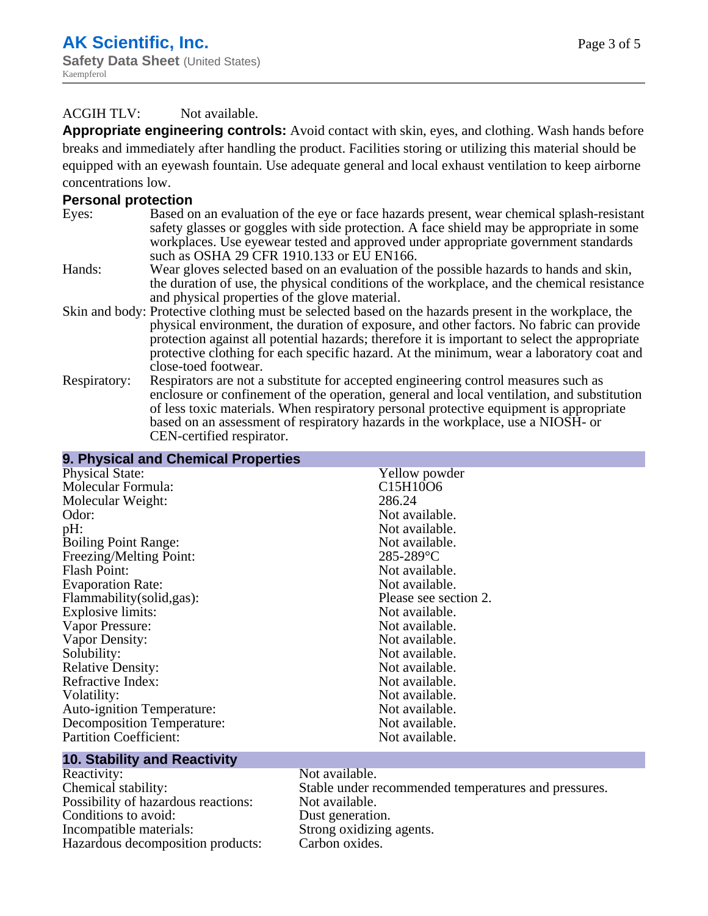## ACGIH TLV: Not available.

**Appropriate engineering controls:** Avoid contact with skin, eyes, and clothing. Wash hands before breaks and immediately after handling the product. Facilities storing or utilizing this material should be equipped with an eyewash fountain. Use adequate general and local exhaust ventilation to keep airborne concentrations low.

#### **Personal protection**

- Eyes: Based on an evaluation of the eye or face hazards present, wear chemical splash-resistant safety glasses or goggles with side protection. A face shield may be appropriate in some workplaces. Use eyewear tested and approved under appropriate government standards such as OSHA 29 CFR 1910.133 or EU EN166.
- Hands: Wear gloves selected based on an evaluation of the possible hazards to hands and skin, the duration of use, the physical conditions of the workplace, and the chemical resistance and physical properties of the glove material.
- Skin and body: Protective clothing must be selected based on the hazards present in the workplace, the physical environment, the duration of exposure, and other factors. No fabric can provide protection against all potential hazards; therefore it is important to select the appropriate protective clothing for each specific hazard. At the minimum, wear a laboratory coat and close-toed footwear.
- Respiratory: Respirators are not a substitute for accepted engineering control measures such as enclosure or confinement of the operation, general and local ventilation, and substitution of less toxic materials. When respiratory personal protective equipment is appropriate based on an assessment of respiratory hazards in the workplace, use a NIOSH- or CEN-certified respirator.

| 9. Physical and Chemical Properties         |                       |
|---------------------------------------------|-----------------------|
| <b>Physical State:</b>                      | Yellow powder         |
| Molecular Formula:                          | C15H10O6              |
| Molecular Weight:                           | 286.24                |
| Odor:                                       | Not available.        |
| pH:                                         | Not available.        |
| <b>Boiling Point Range:</b>                 | Not available.        |
| Freezing/Melting Point:                     | $285 - 289$ °C        |
| <b>Flash Point:</b>                         | Not available.        |
| <b>Evaporation Rate:</b>                    | Not available.        |
| Flammability(solid,gas):                    | Please see section 2. |
| <b>Explosive limits:</b>                    | Not available.        |
| Vapor Pressure:                             | Not available.        |
| Vapor Density:                              | Not available.        |
| Solubility:                                 | Not available.        |
| <b>Relative Density:</b>                    | Not available.        |
| Refractive Index:                           | Not available.        |
| Volatility:                                 | Not available.        |
| <b>Auto-ignition Temperature:</b>           | Not available.        |
| Decomposition Temperature:                  | Not available.        |
| <b>Partition Coefficient:</b>               | Not available.        |
| the second company of the second company of |                       |

#### **10. Stability and Reactivity**

| Reactivity:                         | Not available.                                       |
|-------------------------------------|------------------------------------------------------|
| Chemical stability:                 | Stable under recommended temperatures and pressures. |
| Possibility of hazardous reactions: | Not available.                                       |
| Conditions to avoid:                | Dust generation.                                     |
| Incompatible materials:             | Strong oxidizing agents.                             |
| Hazardous decomposition products:   | Carbon oxides.                                       |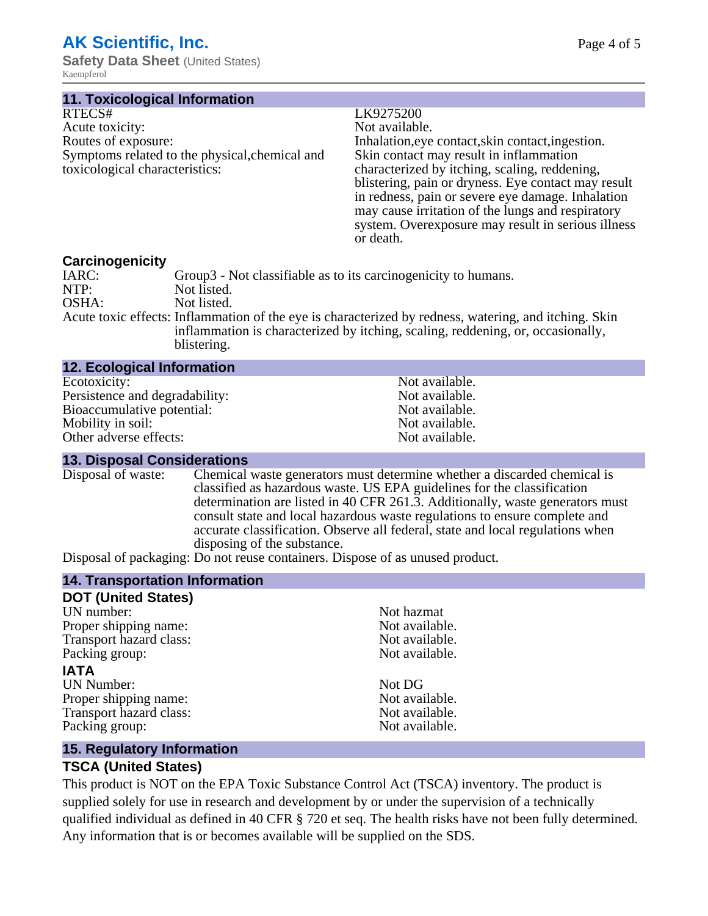# **AK Scientific, Inc.**

**Safety Data Sheet** (United States) Kaempferol

| 11. Toxicological Information |  |
|-------------------------------|--|

#### LK9275200

Not available.

Inhalation,eye contact, skin contact, ingestion. Skin contact may result in inflammation characterized by itching, scaling, reddening, blistering, pain or dryness. Eye contact may result in redness, pain or severe eye damage. Inhalation may cause irritation of the lungs and respiratory system. Overexposure may result in serious illness or death.

**Carcinogenicity** Group3 - Not classifiable as to its carcinogenicity to humans. NTP:<br>
OSHA: Not listed.<br>
Not listed. Not listed. Acute toxic effects: Inflammation of the eye is characterized by redness, watering, and itching. Skin inflammation is characterized by itching, scaling, reddening, or, occasionally, blistering.

| <b>12. Ecological Information</b> |                |
|-----------------------------------|----------------|
| Ecotoxicity:                      | Not available. |
| Persistence and degradability:    | Not available. |
| Bioaccumulative potential:        | Not available. |
| Mobility in soil:                 | Not available. |
| Other adverse effects:            | Not available. |

#### **13. Disposal Considerations**

Disposal of waste: Chemical waste generators must determine whether a discarded chemical is classified as hazardous waste. US EPA guidelines for the classification determination are listed in 40 CFR 261.3. Additionally, waste generators must consult state and local hazardous waste regulations to ensure complete and accurate classification. Observe all federal, state and local regulations when disposing of the substance.

Disposal of packaging: Do not reuse containers. Dispose of as unused product.

## **14. Transportation Information**

| Not hazmat     |
|----------------|
| Not available. |
| Not available. |
| Not available. |
|                |
| Not DG         |
| Not available. |
| Not available. |
| Not available. |
|                |

## **15. Regulatory Information**

## **TSCA (United States)**

This product is NOT on the EPA Toxic Substance Control Act (TSCA) inventory. The product is supplied solely for use in research and development by or under the supervision of a technically qualified individual as defined in 40 CFR § 720 et seq. The health risks have not been fully determined. Any information that is or becomes available will be supplied on the SDS.